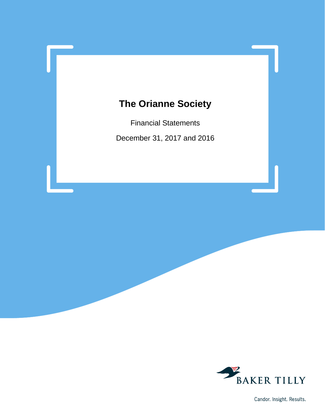Financial Statements December 31, 2017 and 2016



Candor. Insight. Results.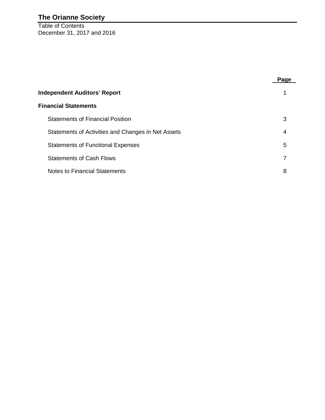Table of Contents December 31, 2017 and 2016

|                                                    | Page |  |  |  |  |
|----------------------------------------------------|------|--|--|--|--|
| <b>Independent Auditors' Report</b>                |      |  |  |  |  |
| <b>Financial Statements</b>                        |      |  |  |  |  |
| <b>Statements of Financial Position</b>            | 3    |  |  |  |  |
| Statements of Activities and Changes in Net Assets | 4    |  |  |  |  |
| <b>Statements of Functional Expenses</b>           | 5    |  |  |  |  |
| <b>Statements of Cash Flows</b>                    | 7    |  |  |  |  |
| Notes to Financial Statements                      | 8    |  |  |  |  |
|                                                    |      |  |  |  |  |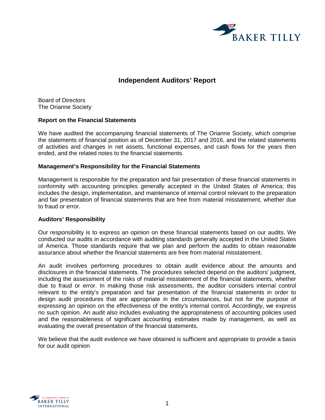

# **Independent Auditors' Report**

Board of Directors The Orianne Society

#### **Report on the Financial Statements**

We have audited the accompanying financial statements of The Orianne Society, which comprise the statements of financial position as of December 31, 2017 and 2016, and the related statements of activities and changes in net assets, functional expenses, and cash flows for the years then ended, and the related notes to the financial statements.

# **Management's Responsibility for the Financial Statements**

Management is responsible for the preparation and fair presentation of these financial statements in conformity with accounting principles generally accepted in the United States of America; this includes the design, implementation, and maintenance of internal control relevant to the preparation and fair presentation of financial statements that are free from material misstatement, whether due to fraud or error.

#### **Auditors' Responsibility**

Our responsibility is to express an opinion on these financial statements based on our audits. We conducted our audits in accordance with auditing standards generally accepted in the United States of America. Those standards require that we plan and perform the audits to obtain reasonable assurance about whether the financial statements are free from material misstatement.

An audit involves performing procedures to obtain audit evidence about the amounts and disclosures in the financial statements. The procedures selected depend on the auditors' judgment, including the assessment of the risks of material misstatement of the financial statements, whether due to fraud or error. In making those risk assessments, the auditor considers internal control relevant to the entity's preparation and fair presentation of the financial statements in order to design audit procedures that are appropriate in the circumstances, but not for the purpose of expressing an opinion on the effectiveness of the entity's internal control. Accordingly, we express no such opinion. An audit also includes evaluating the appropriateness of accounting policies used and the reasonableness of significant accounting estimates made by management, as well as evaluating the overall presentation of the financial statements.

We believe that the audit evidence we have obtained is sufficient and appropriate to provide a basis for our audit opinion

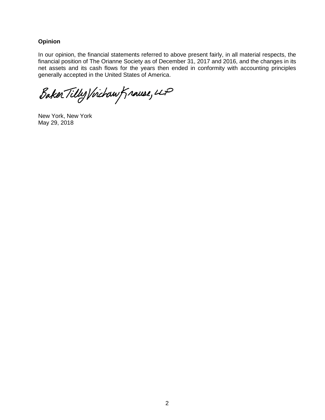# **Opinion**

In our opinion, the financial statements referred to above present fairly, in all material respects, the financial position of The Orianne Society as of December 31, 2017 and 2016, and the changes in its net assets and its cash flows for the years then ended in conformity with accounting principles generally accepted in the United States of America.

Baker Tilly Virchaw Krause, 4P

New York, New York May 29, 2018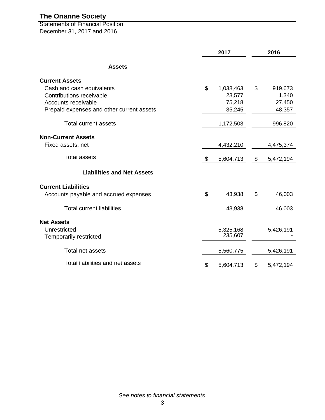Statements of Financial Position December 31, 2017 and 2016

|                                           |    | 2017      | 2016 |           |  |  |
|-------------------------------------------|----|-----------|------|-----------|--|--|
| <b>Assets</b>                             |    |           |      |           |  |  |
| <b>Current Assets</b>                     |    |           |      |           |  |  |
| Cash and cash equivalents                 | \$ | 1,038,463 | \$   | 919,673   |  |  |
| Contributions receivable                  |    | 23,577    |      | 1,340     |  |  |
| Accounts receivable                       |    | 75,218    |      | 27,450    |  |  |
| Prepaid expenses and other current assets |    | 35,245    |      | 48,357    |  |  |
| Total current assets                      |    | 1,172,503 |      | 996,820   |  |  |
| <b>Non-Current Assets</b>                 |    |           |      |           |  |  |
| Fixed assets, net                         |    | 4,432,210 |      | 4,475,374 |  |  |
| I otal assets                             |    | 5,604,713 | - \$ | 5,472,194 |  |  |
| <b>Liabilities and Net Assets</b>         |    |           |      |           |  |  |
| <b>Current Liabilities</b>                |    |           |      |           |  |  |
| Accounts payable and accrued expenses     | \$ | 43,938    | \$   | 46,003    |  |  |
| <b>Total current liabilities</b>          |    | 43,938    |      | 46,003    |  |  |
| <b>Net Assets</b>                         |    |           |      |           |  |  |
| Unrestricted                              |    | 5,325,168 |      | 5,426,191 |  |  |
| <b>Temporarily restricted</b>             |    | 235,607   |      |           |  |  |
| Total net assets                          |    | 5,560,775 |      | 5,426,191 |  |  |
| I otal liabilities and net assets         | P  | 5,604,713 | \$   | 5,472,194 |  |  |
|                                           |    |           |      |           |  |  |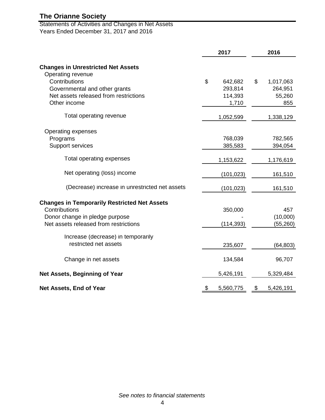Statements of Activities and Changes in Net Assets Years Ended December 31, 2017 and 2016

|                                                     | 2017            | 2016            |  |  |
|-----------------------------------------------------|-----------------|-----------------|--|--|
| <b>Changes in Unrestricted Net Assets</b>           |                 |                 |  |  |
| Operating revenue                                   |                 |                 |  |  |
| Contributions                                       | \$<br>642,682   | \$<br>1,017,063 |  |  |
| Governmental and other grants                       | 293,814         | 264,951         |  |  |
| Net assets released from restrictions               | 114,393         | 55,260          |  |  |
| Other income                                        | 1,710           | 855             |  |  |
| Total operating revenue                             | 1,052,599       | 1,338,129       |  |  |
| Operating expenses                                  |                 |                 |  |  |
| Programs                                            | 768,039         | 782,565         |  |  |
| Support services                                    | 385,583         | 394,054         |  |  |
| Total operating expenses                            | 1,153,622       | 1,176,619       |  |  |
| Net operating (loss) income                         | (101, 023)      | 161,510         |  |  |
| (Decrease) increase in unrestricted net assets      | (101,023)       | 161,510         |  |  |
| <b>Changes in Temporarily Restricted Net Assets</b> |                 |                 |  |  |
| Contributions                                       | 350,000         | 457             |  |  |
| Donor change in pledge purpose                      |                 | (10,000)        |  |  |
| Net assets released from restrictions               | (114, 393)      | (55, 260)       |  |  |
| Increase (decrease) in temporarily                  |                 |                 |  |  |
| restricted net assets                               | 235,607         | (64, 803)       |  |  |
| Change in net assets                                | 134,584         | 96,707          |  |  |
| Net Assets, Beginning of Year                       | 5,426,191       | 5,329,484       |  |  |
| Net Assets, End of Year                             | \$<br>5,560,775 | \$<br>5,426,191 |  |  |

*See notes to financial statements*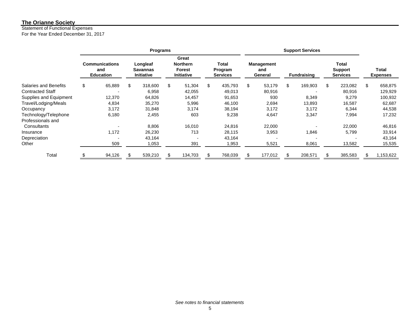Statement of Functional Expenses

For the Year Ended December 31, 2017

|                         | <b>Programs</b> |                                                  |    |                                           |    |                                                       |    |                                     |    |                                     |    |                    |                                                   |     |                                 |
|-------------------------|-----------------|--------------------------------------------------|----|-------------------------------------------|----|-------------------------------------------------------|----|-------------------------------------|----|-------------------------------------|----|--------------------|---------------------------------------------------|-----|---------------------------------|
|                         |                 |                                                  |    |                                           |    | Great                                                 |    |                                     |    |                                     |    |                    |                                                   |     |                                 |
|                         |                 | <b>Communications</b><br>and<br><b>Education</b> |    | Longleaf<br>Savannas<br><b>Initiative</b> |    | <b>Northern</b><br><b>Forest</b><br><b>Initiative</b> |    | Total<br>Program<br><b>Services</b> |    | <b>Management</b><br>and<br>General |    | <b>Fundraising</b> | <b>Total</b><br><b>Support</b><br><b>Services</b> |     | <b>Total</b><br><b>Expenses</b> |
| Salaries and Benefits   | \$              | 65,889                                           | \$ | 318,600                                   | \$ | 51,304                                                | \$ | 435,793                             | \$ | 53,179                              | \$ | 169,903            | \$<br>223,082                                     | \$  | 658,875                         |
| <b>Contracted Staff</b> |                 |                                                  |    | 6,958                                     |    | 42,055                                                |    | 49,013                              |    | 80,916                              |    |                    | 80,916                                            |     | 129,929                         |
| Supplies and Equipment  |                 | 12,370                                           |    | 64,826                                    |    | 14,457                                                |    | 91,653                              |    | 930                                 |    | 8,349              | 9,279                                             |     | 100,932                         |
| Travel/Lodging/Meals    |                 | 4,834                                            |    | 35,270                                    |    | 5,996                                                 |    | 46,100                              |    | 2,694                               |    | 13,893             | 16,587                                            |     | 62,687                          |
| Occupancy               |                 | 3,172                                            |    | 31,848                                    |    | 3,174                                                 |    | 38,194                              |    | 3,172                               |    | 3,172              | 6,344                                             |     | 44,538                          |
| Technology/Telephone    |                 | 6,180                                            |    | 2,455                                     |    | 603                                                   |    | 9,238                               |    | 4,647                               |    | 3,347              | 7,994                                             |     | 17,232                          |
| Professionals and       |                 |                                                  |    |                                           |    |                                                       |    |                                     |    |                                     |    |                    |                                                   |     |                                 |
| Consultants             |                 |                                                  |    | 8,806                                     |    | 16,010                                                |    | 24,816                              |    | 22,000                              |    |                    | 22,000                                            |     | 46,816                          |
| Insurance               |                 | 1,172                                            |    | 26,230                                    |    | 713                                                   |    | 28,115                              |    | 3,953                               |    | 1,846              | 5,799                                             |     | 33,914                          |
| Depreciation            |                 |                                                  |    | 43.164                                    |    |                                                       |    | 43,164                              |    |                                     |    |                    |                                                   |     | 43,164                          |
| Other                   |                 | 509                                              |    | 1,053                                     |    | 391                                                   |    | 1,953                               |    | 5,521                               |    | 8,061              | 13,582                                            |     | 15,535                          |
| Total                   |                 | 94,126                                           |    | 539,210                                   |    | 134,703                                               | S. | 768,039                             |    | 177,012                             | S  | 208,571            | \$<br>385,583                                     | \$. | 1,153,622                       |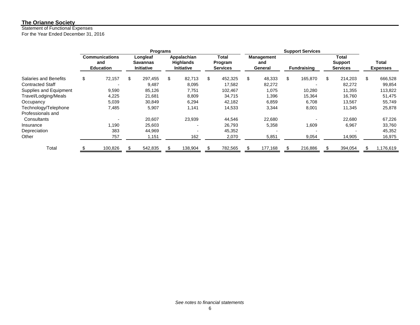#### Statement of Functional Expenses

For the Year Ended December 31, 2016

|                         | <b>Programs</b> |                                                  |    |                                                  |    |                                                      |     |                                     |    |                              |                    |                                            |                          |
|-------------------------|-----------------|--------------------------------------------------|----|--------------------------------------------------|----|------------------------------------------------------|-----|-------------------------------------|----|------------------------------|--------------------|--------------------------------------------|--------------------------|
|                         |                 | <b>Communications</b><br>and<br><b>Education</b> |    | Longleaf<br><b>Savannas</b><br><b>Initiative</b> |    | Appalachian<br><b>Highlands</b><br><b>Initiative</b> |     | Total<br>Program<br><b>Services</b> |    | Management<br>and<br>General | <b>Fundraising</b> | Total<br><b>Support</b><br><b>Services</b> | Total<br><b>Expenses</b> |
| Salaries and Benefits   | \$              | 72,157                                           | \$ | 297,455                                          | \$ | 82.713                                               | \$  | 452,325                             | \$ | 48,333                       | \$<br>165,870      | \$<br>214,203                              | \$<br>666,528            |
| <b>Contracted Staff</b> |                 |                                                  |    | 9.487                                            |    | 8.095                                                |     | 17,582                              |    | 82,272                       | $\overline{a}$     | 82,272                                     | 99,854                   |
| Supplies and Equipment  |                 | 9,590                                            |    | 85,126                                           |    | 7,751                                                |     | 102,467                             |    | 1,075                        | 10,280             | 11,355                                     | 113,822                  |
| Travel/Lodging/Meals    |                 | 4,225                                            |    | 21,681                                           |    | 8,809                                                |     | 34,715                              |    | 1,396                        | 15,364             | 16.760                                     | 51,475                   |
| Occupancy               |                 | 5,039                                            |    | 30,849                                           |    | 6,294                                                |     | 42,182                              |    | 6,859                        | 6,708              | 13,567                                     | 55,749                   |
| Technology/Telephone    |                 | 7,485                                            |    | 5,907                                            |    | 1,141                                                |     | 14,533                              |    | 3,344                        | 8,001              | 11,345                                     | 25,878                   |
| Professionals and       |                 |                                                  |    |                                                  |    |                                                      |     |                                     |    |                              |                    |                                            |                          |
| Consultants             |                 |                                                  |    | 20,607                                           |    | 23,939                                               |     | 44,546                              |    | 22,680                       |                    | 22,680                                     | 67,226                   |
| Insurance               |                 | 1,190                                            |    | 25,603                                           |    | -                                                    |     | 26,793                              |    | 5,358                        | 1,609              | 6,967                                      | 33,760                   |
| Depreciation            |                 | 383                                              |    | 44,969                                           |    |                                                      |     | 45,352                              |    |                              |                    |                                            | 45,352                   |
| Other                   |                 | 757                                              |    | 1,151                                            |    | 162                                                  |     | 2,070                               |    | 5,851                        | 9,054              | 14,905                                     | 16,975                   |
| Total                   |                 | 100,826                                          | \$ | 542,835                                          |    | 138,904                                              | \$. | 782,565                             |    | 177,168                      | 216,886            | 394,054                                    | \$<br>1,176,619          |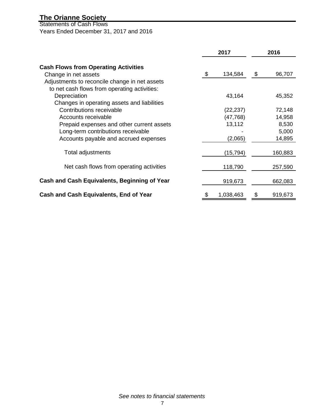Statements of Cash Flows Years Ended December 31, 2017 and 2016

|                                                                     | 2017 |           |    | 2016    |  |  |
|---------------------------------------------------------------------|------|-----------|----|---------|--|--|
| <b>Cash Flows from Operating Activities</b><br>Change in net assets | \$   | 134,584   | \$ | 96,707  |  |  |
| Adjustments to reconcile change in net assets                       |      |           |    |         |  |  |
| to net cash flows from operating activities:                        |      |           |    |         |  |  |
| Depreciation                                                        |      | 43,164    |    | 45,352  |  |  |
| Changes in operating assets and liabilities                         |      |           |    |         |  |  |
| Contributions receivable                                            |      | (22,237)  |    | 72,148  |  |  |
| Accounts receivable                                                 |      | (47, 768) |    | 14,958  |  |  |
| Prepaid expenses and other current assets                           |      | 13,112    |    | 8,530   |  |  |
| Long-term contributions receivable                                  |      |           |    | 5,000   |  |  |
| Accounts payable and accrued expenses                               |      | (2,065)   |    | 14,895  |  |  |
| Total adjustments                                                   |      | (15, 794) |    | 160,883 |  |  |
| Net cash flows from operating activities                            |      | 118,790   |    | 257,590 |  |  |
| Cash and Cash Equivalents, Beginning of Year                        |      | 919,673   |    | 662,083 |  |  |
| Cash and Cash Equivalents, End of Year                              | \$   | 1,038,463 | \$ | 919,673 |  |  |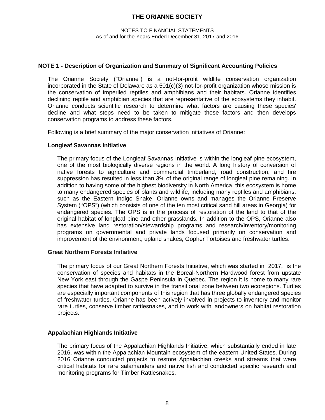#### NOTES TO FINANCIAL STATEMENTS As of and for the Years Ended December 31, 2017 and 2016

### **NOTE 1 - Description of Organization and Summary of Significant Accounting Policies**

The Orianne Society ("Orianne") is a not-for-profit wildlife conservation organization incorporated in the State of Delaware as a  $501(c)(3)$  not-for-profit organization whose mission is the conservation of imperiled reptiles and amphibians and their habitats. Orianne identifies declining reptile and amphibian species that are representative of the ecosystems they inhabit. Orianne conducts scientific research to determine what factors are causing these species' decline and what steps need to be taken to mitigate those factors and then develops conservation programs to address these factors.

Following is a brief summary of the major conservation initiatives of Orianne:

#### **Longleaf Savannas Initiative**

The primary focus of the Longleaf Savannas Initiative is within the longleaf pine ecosystem, one of the most biologically diverse regions in the world. A long history of conversion of native forests to agriculture and commercial timberland, road construction, and fire suppression has resulted in less than 3% of the original range of longleaf pine remaining. In addition to having some of the highest biodiversity in North America, this ecosystem is home to many endangered species of plants and wildlife, including many reptiles and amphibians, such as the Eastern Indigo Snake. Orianne owns and manages the Orianne Preserve System (''OPS") (which consists of one of the ten most critical sand hill areas in Georgia) for endangered species. The OPS is in the process of restoration of the land to that of the original habitat of longleaf pine and other grasslands. In addition to the OPS, Orianne also has extensive land restoration/stewardship programs and research/inventory/monitoring programs on governmental and private lands focused primarily on conservation and improvement of the environment, upland snakes, Gopher Tortoises and freshwater turtles.

#### **Great Northern Forests Initiative**

The primary focus of our Great Northern Forests Initiative, which was started in 2017, is the conservation of species and habitats in the Boreal-Northern Hardwood forest from upstate New York east through the Gaspe Peninsula in Quebec. The region it is home to many rare species that have adapted to survive in the transitional zone between two ecoregions. Turtles are especially important components of this region that has three globally endangered species of freshwater turtles. Orianne has been actively involved in projects to inventory and monitor rare turtles, conserve timber rattlesnakes, and to work with landowners on habitat restoration projects.

#### **Appalachian Highlands Initiative**

The primary focus of the Appalachian Highlands Initiative, which substantially ended in late 2016, was within the Appalachian Mountain ecosystem of the eastern United States. During 2016 Orianne conducted projects to restore Appalachian creeks and streams that were critical habitats for rare salamanders and native fish and conducted specific research and monitoring programs for Timber Rattlesnakes.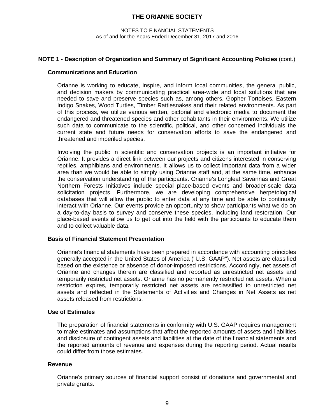#### NOTES TO FINANCIAL STATEMENTS As of and for the Years Ended December 31, 2017 and 2016

#### **NOTE 1 - Description of Organization and Summary of Significant Accounting Policies** (cont.)

#### **Communications and Education**

Orianne is working to educate, inspire, and inform local communities, the general public, and decision makers by communicating practical area-wide and local solutions that are needed to save and preserve species such as, among others, Gopher Tortoises, Eastern Indigo Snakes, Wood Turtles, Timber Rattlesnakes and their related environments. As part of this process, we utilize various written, pictorial and electronic media to document the endangered and threatened species and other cohabitants in their environments. We utilize such data to communicate to the scientific, political, and other concerned individuals the current state and future needs for conservation efforts to save the endangered and threatened and imperiled species.

Involving the public in scientific and conservation projects is an important initiative for Orianne. It provides a direct link between our projects and citizens interested in conserving reptiles, amphibians and environments. It allows us to collect important data from a wider area than we would be able to simply using Orianne staff and, at the same time, enhance the conservation understanding of the participants. Orianne's Longleaf Savannas and Great Northern Forests Initiatives include special place-based events and broader-scale data solicitation projects. Furthermore, we are developing comprehensive herpetological databases that will allow the public to enter data at any time and be able to continually interact with Orianne. Our events provide an opportunity to show participants what we do on a day-to-day basis to survey and conserve these species, including land restoration. Our place-based events allow us to get out into the field with the participants to educate them and to collect valuable data.

# **Basis of Financial Statement Presentation**

Orianne's financial statements have been prepared in accordance with accounting principles generally accepted in the United States of America ("U.S. GAAP"). Net assets are classified based on the existence or absence of donor-imposed restrictions. Accordingly, net assets of Orianne and changes therein are classified and reported as unrestricted net assets and temporarily restricted net assets. Orianne has no permanently restricted net assets. When a restriction expires, temporarily restricted net assets are reclassified to unrestricted net assets and reflected in the Statements of Activities and Changes in Net Assets as net assets released from restrictions.

#### **Use of Estimates**

The preparation of financial statements in conformity with U.S. GAAP requires management to make estimates and assumptions that affect the reported amounts of assets and liabilities and disclosure of contingent assets and liabilities at the date of the financial statements and the reported amounts of revenue and expenses during the reporting period. Actual results could differ from those estimates.

#### **Revenue**

Orianne's primary sources of financial support consist of donations and governmental and private grants.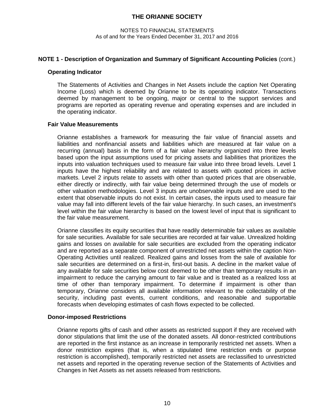#### NOTES TO FINANCIAL STATEMENTS As of and for the Years Ended December 31, 2017 and 2016

# **NOTE 1 - Description of Organization and Summary of Significant Accounting Policies** (cont.)

#### **Operating Indicator**

The Statements of Activities and Changes in Net Assets include the caption Net Operating Income (Loss) which is deemed by Orianne to be its operating indicator. Transactions deemed by management to be ongoing, major or central to the support services and programs are reported as operating revenue and operating expenses and are included in the operating indicator.

#### **Fair Value Measurements**

Orianne establishes a framework for measuring the fair value of financial assets and liabilities and nonfinancial assets and liabilities which are measured at fair value on a recurring (annual) basis in the form of a fair value hierarchy organized into three levels based upon the input assumptions used for pricing assets and liabilities that prioritizes the inputs into valuation techniques used to measure fair value into three broad levels. Level 1 inputs have the highest reliability and are related to assets with quoted prices in active markets. Level 2 inputs relate to assets with other than quoted prices that are observable, either directly or indirectly, with fair value being determined through the use of models or other valuation methodologies. Level 3 inputs are unobservable inputs and are used to the extent that observable inputs do not exist. In certain cases, the inputs used to measure fair value may fall into different levels of the fair value hierarchy. In such cases, an investment's level within the fair value hierarchy is based on the lowest level of input that is significant to the fair value measurement.

Orianne classifies its equity securities that have readily determinable fair values as available for sale securities. Available for sale securities are recorded at fair value. Unrealized holding gains and losses on available for sale securities are excluded from the operating indicator and are reported as a separate component of unrestricted net assets within the caption Non-Operating Activities until realized. Realized gains and losses from the sale of available for sale securities are determined on a first-in, first-out basis. A decline in the market value of any available for sale securities below cost deemed to be other than temporary results in an impairment to reduce the carrying amount to fair value and is treated as a realized loss at time of other than temporary impairment. To determine if impairment is other than temporary, Orianne considers all available information relevant to the collectability of the security, including past events, current conditions, and reasonable and supportable forecasts when developing estimates of cash flows expected to be collected.

#### **Donor-imposed Restrictions**

Orianne reports gifts of cash and other assets as restricted support if they are received with donor stipulations that limit the use of the donated assets. All donor-restricted contributions are reported in the first instance as an increase in temporarily restricted net assets. When a donor restriction expires (that is, when a stipulated time restriction ends or purpose restriction is accomplished), temporarily restricted net assets are reclassified to unrestricted net assets and reported in the operating revenue section of the Statements of Activities and Changes in Net Assets as net assets released from restrictions.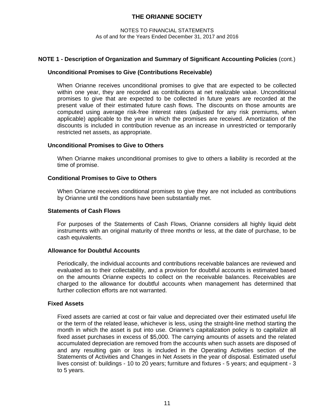#### NOTES TO FINANCIAL STATEMENTS As of and for the Years Ended December 31, 2017 and 2016

# **NOTE 1 - Description of Organization and Summary of Significant Accounting Policies** (cont.)

### **Unconditional Promises to Give (Contributions Receivable)**

When Orianne receives unconditional promises to give that are expected to be collected within one year, they are recorded as contributions at net realizable value. Unconditional promises to give that are expected to be collected in future years are recorded at the present value of their estimated future cash flows. The discounts on those amounts are computed using average risk-free interest rates (adjusted for any risk premiums, when applicable) applicable to the year in which the promises are received. Amortization of the discounts is included in contribution revenue as an increase in unrestricted or temporarily restricted net assets, as appropriate.

#### **Unconditional Promises to Give to Others**

When Orianne makes unconditional promises to give to others a liability is recorded at the time of promise.

# **Conditional Promises to Give to Others**

When Orianne receives conditional promises to give they are not included as contributions by Orianne until the conditions have been substantially met.

#### **Statements of Cash Flows**

For purposes of the Statements of Cash Flows, Orianne considers all highly liquid debt instruments with an original maturity of three months or less, at the date of purchase, to be cash equivalents.

#### **Allowance for Doubtful Accounts**

Periodically, the individual accounts and contributions receivable balances are reviewed and evaluated as to their collectability, and a provision for doubtful accounts is estimated based on the amounts Orianne expects to collect on the receivable balances. Receivables are charged to the allowance for doubtful accounts when management has determined that further collection efforts are not warranted.

# **Fixed Assets**

Fixed assets are carried at cost or fair value and depreciated over their estimated useful life or the term of the related lease, whichever is less, using the straight-line method starting the month in which the asset is put into use. Orianne's capitalization policy is to capitalize all fixed asset purchases in excess of \$5,000. The carrying amounts of assets and the related accumulated depreciation are removed from the accounts when such assets are disposed of and any resulting gain or loss is included in the Operating Activities section of the Statements of Activities and Changes in Net Assets in the year of disposal. Estimated useful lives consist of: buildings - 10 to 20 years; furniture and fixtures - 5 years; and equipment - 3 to 5 years.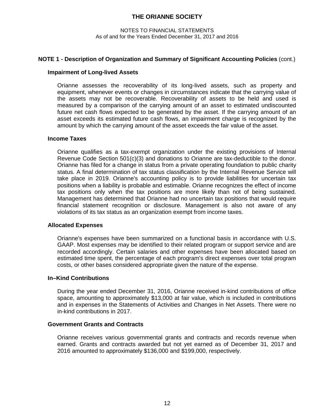#### NOTES TO FINANCIAL STATEMENTS As of and for the Years Ended December 31, 2017 and 2016

#### **NOTE 1 - Description of Organization and Summary of Significant Accounting Policies** (cont.)

#### **Impairment of Long-lived Assets**

Orianne assesses the recoverability of its long-lived assets, such as property and equipment, whenever events or changes in circumstances indicate that the carrying value of the assets may not be recoverable. Recoverability of assets to be held and used is measured by a comparison of the carrying amount of an asset to estimated undiscounted future net cash flows expected to be generated by the asset. If the carrying amount of an asset exceeds its estimated future cash flows, an impairment charge is recognized by the amount by which the carrying amount of the asset exceeds the fair value of the asset.

#### **Income Taxes**

Orianne qualifies as a tax-exempt organization under the existing provisions of Internal Revenue Code Section 501(c)(3) and donations to Orianne are tax-deductible to the donor. Orianne has filed for a change in status from a private operating foundation to public charity status. A final determination of tax status classification by the Internal Revenue Service will take place in 2019. Orianne's accounting policy is to provide liabilities for uncertain tax positions when a liability is probable and estimable. Orianne recognizes the effect of income tax positions only when the tax positions are more likely than not of being sustained. Management has determined that Orianne had no uncertain tax positions that would require financial statement recognition or disclosure. Management is also not aware of any violations of its tax status as an organization exempt from income taxes.

#### **Allocated Expenses**

Orianne's expenses have been summarized on a functional basis in accordance with U.S. GAAP. Most expenses may be identified to their related program or support service and are recorded accordingly. Certain salaries and other expenses have been allocated based on estimated time spent, the percentage of each program's direct expenses over total program costs, or other bases considered appropriate given the nature of the expense.

#### **In–Kind Contributions**

During the year ended December 31, 2016, Orianne received in-kind contributions of office space, amounting to approximately \$13,000 at fair value, which is included in contributions and in expenses in the Statements of Activities and Changes in Net Assets. There were no in-kind contributions in 2017.

#### **Government Grants and Contracts**

Orianne receives various governmental grants and contracts and records revenue when earned. Grants and contracts awarded but not yet earned as of December 31, 2017 and 2016 amounted to approximately \$136,000 and \$199,000, respectively.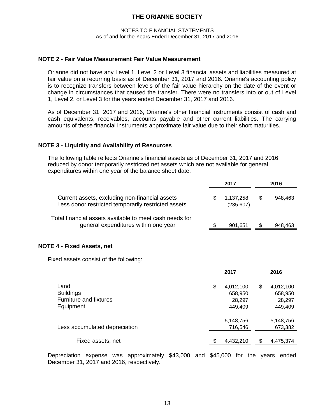#### NOTES TO FINANCIAL STATEMENTS As of and for the Years Ended December 31, 2017 and 2016

#### **NOTE 2 - Fair Value Measurement Fair Value Measurement**

Orianne did not have any Level 1, Level 2 or Level 3 financial assets and liabilities measured at fair value on a recurring basis as of December 31, 2017 and 2016. Orianne's accounting policy is to recognize transfers between levels of the fair value hierarchy on the date of the event or change in circumstances that caused the transfer. There were no transfers into or out of Level 1, Level 2, or Level 3 for the years ended December 31, 2017 and 2016.

As of December 31, 2017 and 2016, Orianne's other financial instruments consist of cash and cash equivalents, receivables, accounts payable and other current liabilities. The carrying amounts of these financial instruments approximate fair value due to their short maturities.

#### **NOTE 3 - Liquidity and Availability of Resources**

The following table reflects Orianne's financial assets as of December 31, 2017 and 2016 reduced by donor temporarily restricted net assets which are not available for general expenditures within one year of the balance sheet date.

|                                                                                                       | 2017                    | 2016          |
|-------------------------------------------------------------------------------------------------------|-------------------------|---------------|
| Current assets, excluding non-financial assets<br>Less donor restricted temporarily restricted assets | 1,137,258<br>(235, 607) | \$<br>948.463 |
| Total financial assets available to meet cash needs for<br>general expenditures within one year       | 901.651                 | \$<br>948,463 |

#### **NOTE 4 - Fixed Assets, net**

Fixed assets consist of the following:

|                                                                        | 2017                                            |     | 2016                                      |
|------------------------------------------------------------------------|-------------------------------------------------|-----|-------------------------------------------|
| Land<br><b>Buildings</b><br><b>Furniture and fixtures</b><br>Equipment | \$<br>4,012,100<br>658,950<br>28,297<br>449,409 | \$  | 4,012,100<br>658,950<br>28,297<br>449,409 |
| Less accumulated depreciation                                          | 5,148,756<br>716,546                            |     | 5,148,756<br>673,382                      |
| Fixed assets, net                                                      | 4,432,210                                       | \$. | 4,475,374                                 |
|                                                                        |                                                 |     |                                           |

Depreciation expense was approximately \$43,000 and \$45,000 for the years ended December 31, 2017 and 2016, respectively.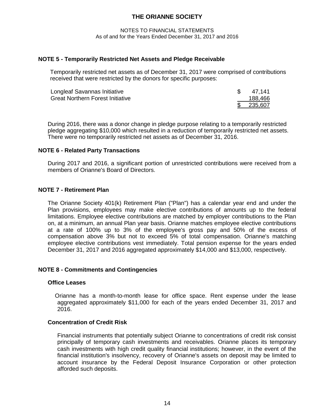NOTES TO FINANCIAL STATEMENTS As of and for the Years Ended December 31, 2017 and 2016

### **NOTE 5 - Temporarily Restricted Net Assets and Pledge Receivable**

Temporarily restricted net assets as of December 31, 2017 were comprised of contributions received that were restricted by the donors for specific purposes:

| Longleaf Savannas Initiative            | 47,141  |
|-----------------------------------------|---------|
| <b>Great Northern Forest Initiative</b> | 188,466 |
|                                         | 235,607 |

During 2016, there was a donor change in pledge purpose relating to a temporarily restricted pledge aggregating \$10,000 which resulted in a reduction of temporarily restricted net assets. There were no temporarily restricted net assets as of December 31, 2016.

# **NOTE 6 - Related Party Transactions**

During 2017 and 2016, a significant portion of unrestricted contributions were received from a members of Orianne's Board of Directors.

# **NOTE 7 - Retirement Plan**

The Orianne Society 401(k) Retirement Plan ("Plan") has a calendar year end and under the Plan provisions, employees may make elective contributions of amounts up to the federal limitations. Employee elective contributions are matched by employer contributions to the Plan on, at a minimum, an annual Plan year basis. Orianne matches employee elective contributions at a rate of 100% up to 3% of the employee's gross pay and 50% of the excess of compensation above 3% but not to exceed 5% of total compensation. Orianne's matching employee elective contributions vest immediately. Total pension expense for the years ended December 31, 2017 and 2016 aggregated approximately \$14,000 and \$13,000, respectively.

#### **NOTE 8 - Commitments and Contingencies**

#### **Office Leases**

Orianne has a month-to-month lease for office space. Rent expense under the lease aggregated approximately \$11,000 for each of the years ended December 31, 2017 and 2016.

#### **Concentration of Credit Risk**

Financial instruments that potentially subject Orianne to concentrations of credit risk consist principally of temporary cash investments and receivables. Orianne places its temporary cash investments with high credit quality financial institutions; however, in the event of the financial institution's insolvency, recovery of Orianne's assets on deposit may be limited to account insurance by the Federal Deposit Insurance Corporation or other protection afforded such deposits.